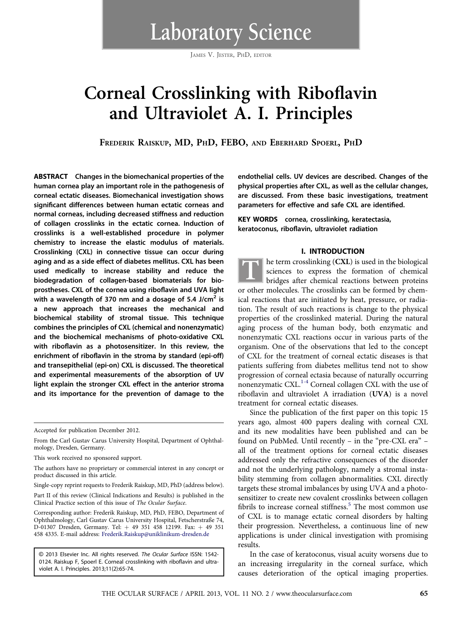Laboratory Science

JAMES V. JESTER, PHD, EDITOR

# Corneal Crosslinking with Riboflavin and Ultraviolet A. I. Principles

FREDERIK RAISKUP, MD, PHD, FEBO, AND EBERHARD SPOERL, PHD

ABSTRACT Changes in the biomechanical properties of the human cornea play an important role in the pathogenesis of corneal ectatic diseases. Biomechanical investigation shows significant differences between human ectatic corneas and normal corneas, including decreased stiffness and reduction of collagen crosslinks in the ectatic cornea. Induction of crosslinks is a well-established procedure in polymer chemistry to increase the elastic modulus of materials. Crosslinking (CXL) in connective tissue can occur during aging and as a side effect of diabetes mellitus. CXL has been used medically to increase stability and reduce the biodegradation of collagen-based biomaterials for bioprostheses. CXL of the cornea using riboflavin and UVA light with a wavelength of 370 nm and a dosage of 5.4 J/cm<sup>2</sup> is a new approach that increases the mechanical and biochemical stability of stromal tissue. This technique combines the principles of CXL (chemical and nonenzymatic) and the biochemical mechanisms of photo-oxidative CXL with riboflavin as a photosensitizer. In this review, the enrichment of riboflavin in the stroma by standard (epi-off) and transepithelial (epi-on) CXL is discussed. The theoretical and experimental measurements of the absorption of UV light explain the stronger CXL effect in the anterior stroma and its importance for the prevention of damage to the

Accepted for publication December 2012.

From the Carl Gustav Carus University Hospital, Department of Ophthalmology, Dresden, Germany.

This work received no sponsored support.

The authors have no proprietary or commercial interest in any concept or product discussed in this article.

Single-copy reprint requests to Frederik Raiskup, MD, PhD (address below).

Part II of this review (Clinical Indications and Results) is published in the Clinical Practice section of this issue of The Ocular Surface.

Corresponding author: Frederik Raiskup, MD, PhD, FEBO, Department of Ophthalmology, Carl Gustav Carus University Hospital, Fetscherstraße 74, D-01307 Dresden, Germany. Tel: + 49 351 458 12199. Fax: + 49 351 458 4335. E-mail address: [Frederik.Raiskup@uniklinikum-dresden.de](mailto:Frederik.Raiskup@uniklinikum-dresden.de)

© 2013 Elsevier Inc. All rights reserved. The Ocular Surface ISSN: 1542- 0124. Raiskup F, Spoerl E. Corneal crosslinking with riboflavin and ultraviolet A. I. Principles. 2013;11(2):65-74.

endothelial cells. UV devices are described. Changes of the physical properties after CXL, as well as the cellular changes, are discussed. From these basic investigations, treatment parameters for effective and safe CXL are identified.

KEY WORDS cornea, crosslinking, keratectasia, keratoconus, riboflavin, ultraviolet radiation

#### I. INTRODUCTION

T he term crosslinking (CXL) is used in the biological<br>sciences to express the formation of chemical<br>bridges after chemical reactions between proteins sciences to express the formation of chemical bridges after chemical reactions between proteins or other molecules. The crosslinks can be formed by chemical reactions that are initiated by heat, pressure, or radiation. The result of such reactions is change to the physical properties of the crosslinked material. During the natural aging process of the human body, both enzymatic and nonenzymatic CXL reactions occur in various parts of the organism. One of the observations that led to the concept of CXL for the treatment of corneal ectatic diseases is that patients suffering from diabetes mellitus tend not to show progression of corneal ectasia because of naturally occurring nonenzymatic CXL.<sup>[1-4](#page-7-0)</sup> Corneal collagen CXL with the use of riboflavin and ultraviolet A irradiation (UVA) is a novel treatment for corneal ectatic diseases.

Since the publication of the first paper on this topic 15 years ago, almost 400 papers dealing with corneal CXL and its new modalities have been published and can be found on PubMed. Until recently – in the "pre-CXL era" – all of the treatment options for corneal ectatic diseases addressed only the refractive consequences of the disorder and not the underlying pathology, namely a stromal instability stemming from collagen abnormalities. CXL directly targets these stromal imbalances by using UVA and a photosensitizer to create new covalent crosslinks between collagen fibrils to increase corneal stiffness.<sup>[5](#page-7-0)</sup> The most common use of CXL is to manage ectatic corneal disorders by halting their progression. Nevertheless, a continuous line of new applications is under clinical investigation with promising results.

In the case of keratoconus, visual acuity worsens due to an increasing irregularity in the corneal surface, which causes deterioration of the optical imaging properties.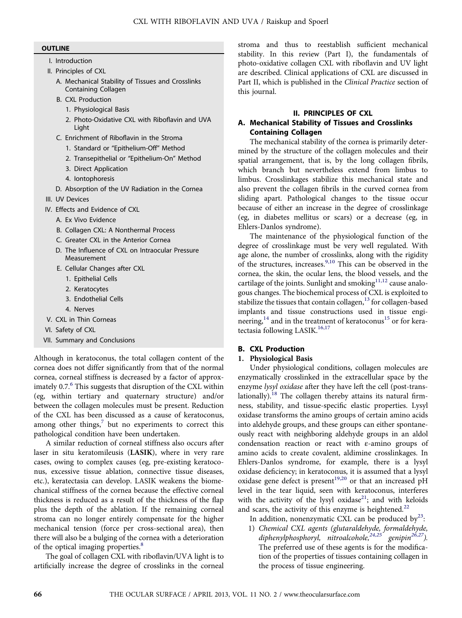#### **OUTLINE**

- I. Introduction
- II. Principles of CXL
	- A. Mechanical Stability of Tissues and Crosslinks Containing Collagen
	- B. CXL Production
		- 1. Physiological Basis
		- 2. Photo-Oxidative CXL with Riboflavin and UVA Light
	- C. Enrichment of Riboflavin in the Stroma
		- 1. Standard or "Epithelium-Off" Method
		- 2. Transepithelial or "Epithelium-On" Method
		- 3. Direct Application
		- 4. Iontophoresis
	- D. Absorption of the UV Radiation in the Cornea
- III. UV Devices
- IV. Effects and Evidence of CXL
	- A. Ex Vivo Evidence
	- B. Collagen CXL: A Nonthermal Process
	- C. Greater CXL in the Anterior Cornea
	- D. The Influence of CXL on Intraocular Pressure Measurement
	- E. Cellular Changes after CXL
		- 1. Epithelial Cells
		- 2. Keratocytes
		- 3. Endothelial Cells
	- 4. Nerves
- V. CXL in Thin Corneas
- VI. Safety of CXL
- VII. Summary and Conclusions

Although in keratoconus, the total collagen content of the cornea does not differ significantly from that of the normal cornea, corneal stiffness is decreased by a factor of approximately  $0.7<sup>6</sup>$  $0.7<sup>6</sup>$  $0.7<sup>6</sup>$ . This suggests that disruption of the CXL within (eg, within tertiary and quaternary structure) and/or between the collagen molecules must be present. Reduction of the CXL has been discussed as a cause of keratoconus, among other things, $7$  but no experiments to correct this pathological condition have been undertaken.

A similar reduction of corneal stiffness also occurs after laser in situ keratomileusis (LASIK), where in very rare cases, owing to complex causes (eg, pre-existing keratoconus, excessive tissue ablation, connective tissue diseases, etc.), keratectasia can develop. LASIK weakens the biomechanical stiffness of the cornea because the effective corneal thickness is reduced as a result of the thickness of the flap plus the depth of the ablation. If the remaining corneal stroma can no longer entirely compensate for the higher mechanical tension (force per cross-sectional area), then there will also be a bulging of the cornea with a deterioration of the optical imaging properties.<sup>[8](#page-7-0)</sup>

The goal of collagen CXL with riboflavin/UVA light is to artificially increase the degree of crosslinks in the corneal

stroma and thus to reestablish sufficient mechanical stability. In this review (Part I), the fundamentals of photo-oxidative collagen CXL with riboflavin and UV light are described. Clinical applications of CXL are discussed in Part II, which is published in the Clinical Practice section of this journal.

# II. PRINCIPLES OF CXL

# A. Mechanical Stability of Tissues and Crosslinks Containing Collagen

The mechanical stability of the cornea is primarily determined by the structure of the collagen molecules and their spatial arrangement, that is, by the long collagen fibrils, which branch but nevertheless extend from limbus to limbus. Crosslinkages stabilize this mechanical state and also prevent the collagen fibrils in the curved cornea from sliding apart. Pathological changes to the tissue occur because of either an increase in the degree of crosslinkage (eg, in diabetes mellitus or scars) or a decrease (eg, in Ehlers-Danlos syndrome).

The maintenance of the physiological function of the degree of crosslinkage must be very well regulated. With age alone, the number of crosslinks, along with the rigidity of the structures, increases.<sup>[9,10](#page-7-0)</sup> This can be observed in the cornea, the skin, the ocular lens, the blood vessels, and the cartilage of the joints. Sunlight and smoking $11,12$  cause analogous changes. The biochemical process of CXL is exploited to stabilize the tissues that contain collagen, $^{13}$  for collagen-based implants and tissue constructions used in tissue engi-neering,<sup>[14](#page-7-0)</sup> and in the treatment of keratoconus<sup>[15](#page-7-0)</sup> or for kera-tectasia following LASIK.<sup>[16,17](#page-7-0)</sup>

# B. CXL Production

# 1. Physiological Basis

Under physiological conditions, collagen molecules are enzymatically crosslinked in the extracellular space by the enzyme lysyl oxidase after they have left the cell (post-trans-lationally).<sup>[18](#page-7-0)</sup> The collagen thereby attains its natural firmness, stability, and tissue-specific elastic properties. Lysyl oxidase transforms the amino groups of certain amino acids into aldehyde groups, and these groups can either spontaneously react with neighboring aldehyde groups in an aldol condensation reaction or react with ε-amino groups of amino acids to create covalent, aldimine crosslinkages. In Ehlers-Danlos syndrome, for example, there is a lysyl oxidase deficiency; in keratoconus, it is assumed that a lysyl oxidase gene defect is present<sup>[19,20](#page-7-0)</sup> or that an increased pH level in the tear liquid, seen with keratoconus, interferes with the activity of the lysyl oxidase<sup>21</sup>; and with keloids and scars, the activity of this enzyme is heightened. $^{22}$  $^{22}$  $^{22}$ 

In addition, nonenzymatic CXL can be produced  $by<sup>23</sup>$  $by<sup>23</sup>$  $by<sup>23</sup>$ :

1) Chemical CXL agents (glutaraldehyde, formaldehyde, diphenylphosphoryl, nitroalcohole,  $24.25$  genipin<sup>[26,27](#page-7-0)</sup>). The preferred use of these agents is for the modification of the properties of tissues containing collagen in the process of tissue engineering.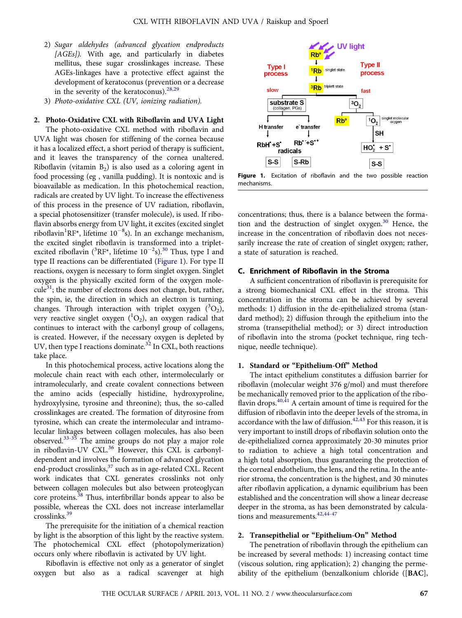- 2) Sugar aldehydes (advanced glycation endproducts [AGEs]). With age, and particularly in diabetes mellitus, these sugar crosslinkages increase. These AGEs-linkages have a protective effect against the development of keratoconus (prevention or a decrease in the severity of the keratoconus).<sup>[28,29](#page-7-0)</sup>
- 3) Photo-oxidative CXL (UV, ionizing radiation).

2. Photo-Oxidative CXL with Riboflavin and UVA Light The photo-oxidative CXL method with riboflavin and UVA light was chosen for stiffening of the cornea because it has a localized effect, a short period of therapy is sufficient, and it leaves the transparency of the cornea unaltered. Riboflavin (vitamin  $B_2$ ) is also used as a coloring agent in food processing (eg , vanilla pudding). It is nontoxic and is bioavailable as medication. In this photochemical reaction, radicals are created by UV light. To increase the effectiveness of this process in the presence of UV radiation, riboflavin, a special photosensitizer (transfer molecule), is used. If riboflavin absorbs energy from UV light, it excites (excited singlet riboflavin<sup>[1](#page-7-0)</sup>RF\*, lifetime 10<sup>-8</sup>s). In an exchange mechanism, the excited singlet riboflavin is transformed into a tripletexcited riboflavin ( ${}^{3}$ RF\*, lifetime 10<sup>-2</sup>s).<sup>[30](#page-7-0)</sup> Thus, type I and type II reactions can be differentiated (Figure 1). For type II reactions, oxygen is necessary to form singlet oxygen. Singlet oxygen is the physically excited form of the oxygen mole- $\text{cube}^{31}$  $\text{cube}^{31}$  $\text{cube}^{31}$ ; the number of electrons does not change, but, rather, the spin, ie, the direction in which an electron is turning, changes. Through interaction with triplet oxygen  $(^{3}O_{2})$ , very reactive singlet oxygen  $(^1O_2)$ , an oxygen radical that continues to interact with the carbonyl group of collagens, is created. However, if the necessary oxygen is depleted by UV, then type I reactions dominate.<sup>[32](#page-7-0)</sup> In CXL, both reactions take place.

In this photochemical process, active locations along the molecule chain react with each other, intermolecularly or intramolecularly, and create covalent connections between the amino acids (especially histidine, hydroxyproline, hydroxylysine, tyrosine and threonine); thus, the so-called crosslinkages are created. The formation of dityrosine from tyrosine, which can create the intermolecular and intramolecular linkages between collagen molecules, has also been observed.[33-35](#page-7-0) The amine groups do not play a major role in riboflavin-UV CXL.<sup>[36](#page-7-0)</sup> However, this CXL is carbonyldependent and involves the formation of advanced glycation end-product crosslinks,<sup>[37](#page-7-0)</sup> such as in age-related CXL. Recent work indicates that CXL generates crosslinks not only between collagen molecules but also between proteoglycan core proteins.<sup>38</sup> Thus, interfibrillar bonds appear to also be possible, whereas the CXL does not increase interlamellar crosslinks.[39](#page-7-0)

The prerequisite for the initiation of a chemical reaction by light is the absorption of this light by the reactive system. The photochemical CXL effect (photopolymerization) occurs only where riboflavin is activated by UV light.

Riboflavin is effective not only as a generator of singlet oxygen but also as a radical scavenger at high



Figure 1. Excitation of riboflavin and the two possible reaction mechanisms.

concentrations; thus, there is a balance between the formation and the destruction of singlet oxygen. $30$  Hence, the increase in the concentration of riboflavin does not necessarily increase the rate of creation of singlet oxygen; rather, a state of saturation is reached.

## C. Enrichment of Riboflavin in the Stroma

A sufficient concentration of riboflavin is prerequisite for a strong biomechanical CXL effect in the stroma. This concentration in the stroma can be achieved by several methods: 1) diffusion in the de-epithelialized stroma (standard method); 2) diffusion through the epithelium into the stroma (transepithelial method); or 3) direct introduction of riboflavin into the stroma (pocket technique, ring technique, needle technique).

#### 1. Standard or "Epithelium-Off" Method

The intact epithelium constitutes a diffusion barrier for riboflavin (molecular weight 376 g/mol) and must therefore be mechanically removed prior to the application of the riboflavin drops. $40,41$  A certain amount of time is required for the diffusion of riboflavin into the deeper levels of the stroma, in accordance with the law of diffusion.<sup>[42,43](#page-7-0)</sup> For this reason, it is very important to instill drops of riboflavin solution onto the de-epithelialized cornea approximately 20-30 minutes prior to radiation to achieve a high total concentration and a high total absorption, thus guaranteeing the protection of the corneal endothelium, the lens, and the retina. In the anterior stroma, the concentration is the highest, and 30 minutes after riboflavin application, a dynamic equilibrium has been established and the concentration will show a linear decrease deeper in the stroma, as has been demonstrated by calcula-tions and measurements.<sup>[42,44-47](#page-7-0)</sup>

#### 2. Transepithelial or "Epithelium-On" Method

The penetration of riboflavin through the epithelium can be increased by several methods: 1) increasing contact time (viscous solution, ring application); 2) changing the permeability of the epithelium (benzalkonium chloride ([BAC],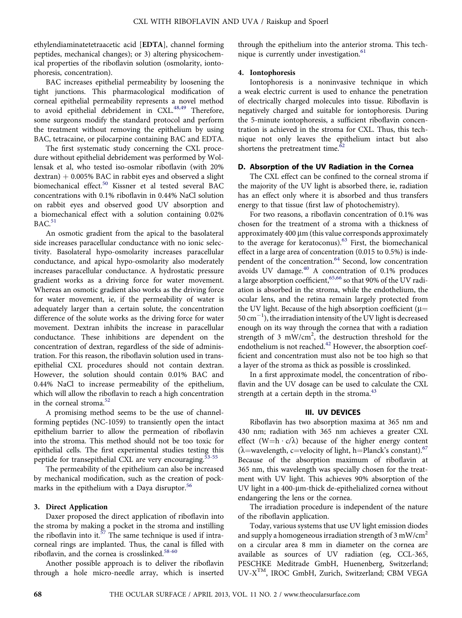ethylendiaminatetetraacetic acid [EDTA], channel forming peptides, mechanical changes); or 3) altering physicochemical properties of the riboflavin solution (osmolarity, iontophoresis, concentration).

BAC increases epithelial permeability by loosening the tight junctions. This pharmacological modification of corneal epithelial permeability represents a novel method to avoid epithelial debridement in CXL.<sup>[48,49](#page-8-0)</sup> Therefore, some surgeons modify the standard protocol and perform the treatment without removing the epithelium by using BAC, tetracaine, or pilocarpine containing BAC and EDTA.

The first systematic study concerning the CXL procedure without epithelial debridement was performed by Wollensak et al, who tested iso-osmolar riboflavin (with 20%  $d$ extran)  $+$  0.005% BAC in rabbit eyes and observed a slight biomechanical effect.<sup>[50](#page-8-0)</sup> Kissner et al tested several BAC concentrations with 0.1% riboflavin in 0.44% NaCl solution on rabbit eyes and observed good UV absorption and a biomechanical effect with a solution containing 0.02%  $BAC<sup>51</sup>$  $BAC<sup>51</sup>$  $BAC<sup>51</sup>$ 

An osmotic gradient from the apical to the basolateral side increases paracellular conductance with no ionic selectivity. Basolateral hypo-osmolarity increases paracellular conductance, and apical hypo-osmolarity also moderately increases paracellular conductance. A hydrostatic pressure gradient works as a driving force for water movement. Whereas an osmotic gradient also works as the driving force for water movement, ie, if the permeability of water is adequately larger than a certain solute, the concentration difference of the solute works as the driving force for water movement. Dextran inhibits the increase in paracellular conductance. These inhibitions are dependent on the concentration of dextran, regardless of the side of administration. For this reason, the riboflavin solution used in transepithelial CXL procedures should not contain dextran. However, the solution should contain 0.01% BAC and 0.44% NaCl to increase permeability of the epithelium, which will allow the riboflavin to reach a high concentration in the corneal stroma[.52](#page-8-0)

A promising method seems to be the use of channelforming peptides (NC-1059) to transiently open the intact epithelium barrier to allow the permeation of riboflavin into the stroma. This method should not be too toxic for epithelial cells. The first experimental studies testing this peptide for transepithelial CXL are very encouraging.<sup>[53-55](#page-8-0)</sup>

The permeability of the epithelium can also be increased by mechanical modification, such as the creation of pock-marks in the epithelium with a Daya disruptor.<sup>[56](#page-8-0)</sup>

#### 3. Direct Application

Daxer proposed the direct application of riboflavin into the stroma by making a pocket in the stroma and instilling the riboflavin into it.<sup>[57](#page-8-0)</sup> The same technique is used if intracorneal rings are implanted. Thus, the canal is filled with riboflavin, and the cornea is crosslinked.<sup>[58-60](#page-8-0)</sup>

Another possible approach is to deliver the riboflavin through a hole micro-needle array, which is inserted

through the epithelium into the anterior stroma. This tech-nique is currently under investigation.<sup>[61](#page-8-0)</sup>

#### 4. Iontophoresis

Iontophoresis is a noninvasive technique in which a weak electric current is used to enhance the penetration of electrically charged molecules into tissue. Riboflavin is negatively charged and suitable for iontophoresis. During the 5-minute iontophoresis, a sufficient riboflavin concentration is achieved in the stroma for CXL. Thus, this technique not only leaves the epithelium intact but also shortens the pretreatment time. $\frac{\bar{6}2}{ }$ 

### D. Absorption of the UV Radiation in the Cornea

The CXL effect can be confined to the corneal stroma if the majority of the UV light is absorbed there, ie, radiation has an effect only where it is absorbed and thus transfers energy to that tissue (first law of photochemistry).

For two reasons, a riboflavin concentration of 0.1% was chosen for the treatment of a stroma with a thickness of approximately  $400 \mu m$  (this value corresponds approximately to the average for keratoconus).[63](#page-8-0) First, the biomechanical effect in a large area of concentration (0.015 to 0.5%) is inde-pendent of the concentration.<sup>[64](#page-8-0)</sup> Second, low concentration avoids UV damage. $40$  A concentration of 0.1% produces a large absorption coefficient, [65,66](#page-8-0) so that 90% of the UV radiation is absorbed in the stroma, while the endothelium, the ocular lens, and the retina remain largely protected from the UV light. Because of the high absorption coefficient ( $\mu$ = 50 cm-1 ), the irradiation intensity of the UV light is decreased enough on its way through the cornea that with a radiation strength of 3  $mW/cm<sup>2</sup>$ , the destruction threshold for the endothelium is not reached.<sup>[42](#page-7-0)</sup> However, the absorption coefficient and concentration must also not be too high so that a layer of the stroma as thick as possible is crosslinked.

In a first approximate model, the concentration of riboflavin and the UV dosage can be used to calculate the CXL strength at a certain depth in the stroma.<sup>[43](#page-8-0)</sup>

#### III. UV DEVICES

Riboflavin has two absorption maxima at 365 nm and 430 nm; radiation with 365 nm achieves a greater CXL effect (W=h  $\cdot$  c/ $\lambda$ ) because of the higher energy content ( $\lambda$ =wavelength, c=velocity of light, h=Planck's constant).<sup>[67](#page-8-0)</sup> Because of the absorption maximum of riboflavin at 365 nm, this wavelength was specially chosen for the treatment with UV light. This achieves 90% absorption of the UV light in a 400-µm-thick de-epithelialized cornea without endangering the lens or the cornea.

The irradiation procedure is independent of the nature of the riboflavin application.

Today, various systems that use UV light emission diodes and supply a homogeneous irradiation strength of  $3 \text{ mW/cm}^2$ on a circular area 8 mm in diameter on the cornea are available as sources of UV radiation (eg, CCL-365, PESCHKE Meditrade GmbH, Huenenberg, Switzerland; UV-XTM, IROC GmbH, Zurich, Switzerland; CBM VEGA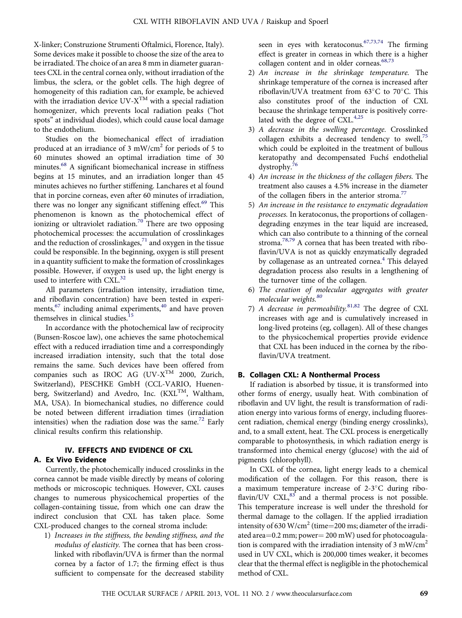X-linker; Construzione Strumenti Oftalmici, Florence, Italy). Some devices make it possible to choose the size of the area to be irradiated. The choice of an area 8 mm in diameter guarantees CXL in the central cornea only, without irradiation of the limbus, the sclera, or the goblet cells. The high degree of homogeneity of this radiation can, for example, be achieved with the irradiation device  $UV-X^{TM}$  with a special radiation homogenizer, which prevents local radiation peaks ("hot spots" at individual diodes), which could cause local damage to the endothelium.

Studies on the biomechanical effect of irradiation produced at an irradiance of 3 mW/cm<sup>2</sup> for periods of 5 to 60 minutes showed an optimal irradiation time of 30 minutes.<sup>[68](#page-8-0)</sup> A significant biomechanical increase in stiffness begins at 15 minutes, and an irradiation longer than 45 minutes achieves no further stiffening. Lanchares et al found that in porcine corneas, even after 60 minutes of irradiation, there was no longer any significant stiffening effect.<sup>[69](#page-8-0)</sup> This phenomenon is known as the photochemical effect of ionizing or ultraviolet radiation.<sup>[70](#page-8-0)</sup> There are two opposing photochemical processes: the accumulation of crosslinkages and the reduction of crosslinkages, $71$  and oxygen in the tissue could be responsible. In the beginning, oxygen is still present in a quantity sufficient to make the formation of crosslinkages possible. However, if oxygen is used up, the light energy is used to interfere with  $\text{CXL}^{32}$  $\text{CXL}^{32}$  $\text{CXL}^{32}$ .

All parameters (irradiation intensity, irradiation time, and riboflavin concentration) have been tested in experi-ments,<sup>[67](#page-8-0)</sup> including animal experiments,<sup>[40](#page-7-0)</sup> and have proven themselves in clinical studies.<sup>[15](#page-7-0)</sup>

In accordance with the photochemical law of reciprocity (Bunsen-Roscoe law), one achieves the same photochemical effect with a reduced irradiation time and a correspondingly increased irradiation intensity, such that the total dose remains the same. Such devices have been offered from companies such as IROC AG (UV- $X^{TM}$  2000, Zurich, Switzerland), PESCHKE GmbH (CCL-VARIO, Huenenberg, Switzerland) and Avedro, Inc.  $(KXL^{TM}, Waltham,$ MA, USA). In biomechanical studies, no difference could be noted between different irradiation times (irradiation intensities) when the radiation dose was the same.<sup>[72](#page-8-0)</sup> Early clinical results confirm this relationship.

## IV. EFFECTS AND EVIDENCE OF CXL

### A. Ex Vivo Evidence

Currently, the photochemically induced crosslinks in the cornea cannot be made visible directly by means of coloring methods or microscopic techniques. However, CXL causes changes to numerous physicochemical properties of the collagen-containing tissue, from which one can draw the indirect conclusion that CXL has taken place. Some CXL-produced changes to the corneal stroma include:

1) Increases in the stiffness, the bending stiffness, and the modulus of elasticity. The cornea that has been crosslinked with riboflavin/UVA is firmer than the normal cornea by a factor of 1.7; the firming effect is thus sufficient to compensate for the decreased stability seen in eyes with keratoconus.  $67,73,74$  The firming effect is greater in corneas in which there is a higher collagen content and in older corneas.<sup>[68,73](#page-8-0)</sup>

- 2) An increase in the shrinkage temperature. The shrinkage temperature of the cornea is increased after riboflavin/UVA treatment from  $63^{\circ}$ C to 70 $^{\circ}$ C. This also constitutes proof of the induction of CXL because the shrinkage temperature is positively corre-lated with the degree of CXL.<sup>[4,25](#page-7-0)</sup>
- 3) A decrease in the swelling percentage. Crosslinked collagen exhibits a decreased tendency to swell, $75$ which could be exploited in the treatment of bullous keratopathy and decompensated Fuchs endothelial dystrophy.[76](#page-8-0)
- 4) An increase in the thickness of the collagen fibers. The treatment also causes a 4.5% increase in the diameter of the collagen fibers in the anterior stroma.<sup>[77](#page-8-0)</sup>
- 5) An increase in the resistance to enzymatic degradation processes. In keratoconus, the proportions of collagendegrading enzymes in the tear liquid are increased, which can also contribute to a thinning of the corneal stroma.[78,79](#page-8-0) A cornea that has been treated with riboflavin/UVA is not as quickly enzymatically degraded by collagenase as an untreated cornea.<sup>[4](#page-7-0)</sup> This delayed degradation process also results in a lengthening of the turnover time of the collagen.
- 6) The creation of molecular aggregates with greater molecular weights.<sup>[80](#page-8-0)</sup>
- 7) A decrease in permeability. $81,82$  The degree of CXL increases with age and is cumulatively increased in long-lived proteins (eg, collagen). All of these changes to the physicochemical properties provide evidence that CXL has been induced in the cornea by the riboflavin/UVA treatment.

## B. Collagen CXL: A Nonthermal Process

If radiation is absorbed by tissue, it is transformed into other forms of energy, usually heat. With combination of riboflavin and UV light, the result is transformation of radiation energy into various forms of energy, including fluorescent radiation, chemical energy (binding energy crosslinks), and, to a small extent, heat. The CXL process is energetically comparable to photosynthesis, in which radiation energy is transformed into chemical energy (glucose) with the aid of pigments (chlorophyll).

In CXL of the cornea, light energy leads to a chemical modification of the collagen. For this reason, there is a maximum temperature increase of  $2-3$ °C during riboflavin/UV  $\text{CXL}^{83}$  $\text{CXL}^{83}$  $\text{CXL}^{83}$  and a thermal process is not possible. This temperature increase is well under the threshold for thermal damage to the collagen. If the applied irradiation intensity of 630 W/cm<sup>2</sup> (time=200 ms; diameter of the irradiated area $=0.2$  mm; power $=200$  mW) used for photocoagulation is compared with the irradiation intensity of 3 mW/cm<sup>2</sup> used in UV CXL, which is 200,000 times weaker, it becomes clear that the thermal effect is negligible in the photochemical method of CXL.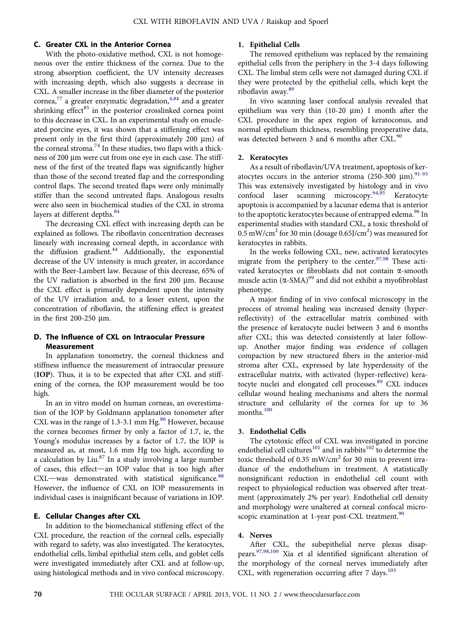## C. Greater CXL in the Anterior Cornea

With the photo-oxidative method, CXL is not homogeneous over the entire thickness of the cornea. Due to the strong absorption coefficient, the UV intensity decreases with increasing depth, which also suggests a decrease in CXL. A smaller increase in the fiber diameter of the posterior cornea,<sup>[77](#page-8-0)</sup> a greater enzymatic degradation,<sup>4,84</sup> and a greater shrinking effect<sup>[85](#page-8-0)</sup> in the posterior crosslinked cornea point to this decrease in CXL. In an experimental study on enucleated porcine eyes, it was shown that a stiffening effect was present only in the first third (approximately  $200 \mu m$ ) of the corneal stroma.<sup>74</sup> In these studies, two flaps with a thickness of 200 µm were cut from one eye in each case. The stiffness of the first of the treated flaps was significantly higher than those of the second treated flap and the corresponding control flaps. The second treated flaps were only minimally stiffer than the second untreated flaps. Analogous results were also seen in biochemical studies of the CXL in stroma layers at different depths. [84](#page-8-0)

The decreasing CXL effect with increasing depth can be explained as follows. The riboflavin concentration decreases linearly with increasing corneal depth, in accordance with the diffusion gradient.<sup>[44](#page-8-0)</sup> Additionally, the exponential decrease of the UV intensity is much greater, in accordance with the Beer-Lambert law. Because of this decrease, 65% of the UV radiation is absorbed in the first  $200 \mu m$ . Because the CXL effect is primarily dependent upon the intensity of the UV irradiation and, to a lesser extent, upon the concentration of riboflavin, the stiffening effect is greatest in the first  $200-250 \mu m$ .

## D. The Influence of CXL on Intraocular Pressure **Measurement**

In applanation tonometry, the corneal thickness and stiffness influence the measurement of intraocular pressure (IOP). Thus, it is to be expected that after CXL and stiffening of the cornea, the IOP measurement would be too high.

In an in vitro model on human corneas, an overestimation of the IOP by Goldmann applanation tonometer after CXL was in the range of  $1.3$ -3.1 mm Hg.<sup>[86](#page-8-0)</sup> However, because the cornea becomes firmer by only a factor of 1.7, ie, the Young's modulus increases by a factor of 1.7, the IOP is measured as, at most, 1.6 mm Hg too high, according to a calculation by Liu.<sup>[87](#page-9-0)</sup> In a study involving a large number of cases, this effect-an IOP value that is too high after  $CXL$ —was demonstrated with statistical significance. $88$ However, the influence of CXL on IOP measurements in individual cases is insignificant because of variations in IOP.

#### E. Cellular Changes after CXL

In addition to the biomechanical stiffening effect of the CXL procedure, the reaction of the corneal cells, especially with regard to safety, was also investigated. The keratocytes, endothelial cells, limbal epithelial stem cells, and goblet cells were investigated immediately after CXL and at follow-up, using histological methods and in vivo confocal microscopy.

# 1. Epithelial Cells

The removed epithelium was replaced by the remaining epithelial cells from the periphery in the 3-4 days following CXL. The limbal stem cells were not damaged during CXL if they were protected by the epithelial cells, which kept the riboflavin away.<sup>[89](#page-9-0)</sup>

In vivo scanning laser confocal analysis revealed that epithelium was very thin  $(10-20 \mu m)$  1 month after the CXL procedure in the apex region of keratoconus, and normal epithelium thickness, resembling preoperative data, was detected between 3 and 6 months after CXL.<sup>[90](#page-9-0)</sup>

## 2. Keratocytes

As a result of riboflavin/UVA treatment, apoptosis of keratocytes occurs in the anterior stroma (250-300  $\mu$ m).<sup>[91-93](#page-9-0)</sup> This was extensively investigated by histology and in vivo confocal laser scanning microscopy.<sup>[94,95](#page-9-0)</sup> Keratocyte apoptosis is accompanied by a lacunar edema that is anterior to the apoptotic keratocytes because of entrapped edema.<sup>96</sup> In experimental studies with standard CXL, a toxic threshold of  $0.5\,\mathrm{mW/cm^2}$  for 30 min (dosage  $0.65$ J/cm $^2$ ) was measured for keratocytes in rabbits.

In the weeks following CXL, new, activated keratocytes migrate from the periphery to the center.<sup>[97,98](#page-9-0)</sup> These activated keratocytes or fibroblasts did not contain  $\alpha$ -smooth muscle actin  $(\alpha$ -SMA)<sup>[99](#page-9-0)</sup> and did not exhibit a myofibroblast phenotype.

A major finding of in vivo confocal microscopy in the process of stromal healing was increased density (hyperreflectivity) of the extracellular matrix combined with the presence of keratocyte nuclei between 3 and 6 months after CXL; this was detected consistently at later followup. Another major finding was evidence of collagen compaction by new structured fibers in the anterior-mid stroma after CXL, expressed by late hyperdensity of the extracellular matrix, with activated (hyper-reflective) kera-tocyte nuclei and elongated cell processes.<sup>[89](#page-9-0)</sup> CXL induces cellular wound healing mechanisms and alters the normal structure and cellularity of the cornea for up to 36 months.<sup>[100](#page-9-0)</sup>

## 3. Endothelial Cells

The cytotoxic effect of CXL was investigated in porcine endothelial cell cultures<sup>[101](#page-9-0)</sup> and in rabbits<sup>[102](#page-9-0)</sup> to determine the toxic threshold of 0.35 mW/cm<sup>2</sup> for 30 min to prevent irradiance of the endothelium in treatment. A statistically nonsignificant reduction in endothelial cell count with respect to physiological reduction was observed after treatment (approximately 2% per year). Endothelial cell density and morphology were unaltered at corneal confocal micro-scopic examination at 1-year post-CXL treatment.<sup>[90](#page-9-0)</sup>

#### 4. Nerves

After CXL, the subepithelial nerve plexus disappears.[97,98,100](#page-9-0) Xia et al identified significant alteration of the morphology of the corneal nerves immediately after CXL, with regeneration occurring after  $7 \text{ days}$ .<sup>[103](#page-9-0)</sup>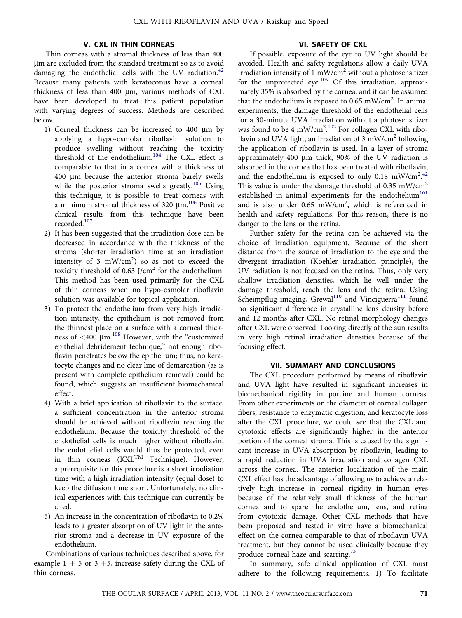## V. CXL IN THIN CORNEAS

Thin corneas with a stromal thickness of less than 400 mm are excluded from the standard treatment so as to avoid damaging the endothelial cells with the UV radiation.<sup>[42](#page-7-0)</sup> Because many patients with keratoconus have a corneal thickness of less than 400 µm, various methods of CXL have been developed to treat this patient population with varying degrees of success. Methods are described below.

- 1) Corneal thickness can be increased to 400  $\mu$ m by applying a hypo-osmolar riboflavin solution to produce swelling without reaching the toxicity threshold of the endothelium.<sup>[104](#page-9-0)</sup> The CXL effect is comparable to that in a cornea with a thickness of 400 mm because the anterior stroma barely swells while the posterior stroma swells greatly.<sup>[105](#page-9-0)</sup> Using this technique, it is possible to treat corneas with a minimum stromal thickness of 320  $\mu$ m.<sup>106</sup> Positive clinical results from this technique have been recorded<sup>[107](#page-9-0)</sup>
- 2) It has been suggested that the irradiation dose can be decreased in accordance with the thickness of the stroma (shorter irradiation time at an irradiation intensity of 3  $mW/cm<sup>2</sup>$ ) so as not to exceed the toxicity threshold of 0.63 J/cm<sup>2</sup> for the endothelium. This method has been used primarily for the CXL of thin corneas when no hypo-osmolar riboflavin solution was available for topical application.
- 3) To protect the endothelium from very high irradiation intensity, the epithelium is not removed from the thinnest place on a surface with a corneal thickness of  $\lt$ 400 µm.<sup>[108](#page-9-0)</sup> However, with the "customized epithelial debridement technique," not enough riboflavin penetrates below the epithelium; thus, no keratocyte changes and no clear line of demarcation (as is present with complete epithelium removal) could be found, which suggests an insufficient biomechanical effect.
- 4) With a brief application of riboflavin to the surface, a sufficient concentration in the anterior stroma should be achieved without riboflavin reaching the endothelium. Because the toxicity threshold of the endothelial cells is much higher without riboflavin, the endothelial cells would thus be protected, even in thin corneas  $(KXL^{TM}$  Technique). However, a prerequisite for this procedure is a short irradiation time with a high irradiation intensity (equal dose) to keep the diffusion time short. Unfortunately, no clinical experiences with this technique can currently be cited.
- 5) An increase in the concentration of riboflavin to 0.2% leads to a greater absorption of UV light in the anterior stroma and a decrease in UV exposure of the endothelium.

Combinations of various techniques described above, for example  $1 + 5$  or  $3 + 5$ , increase safety during the CXL of thin corneas.

### VI. SAFETY OF CXL

If possible, exposure of the eye to UV light should be avoided. Health and safety regulations allow a daily UVA irradiation intensity of 1 mW/cm<sup>2</sup> without a photosensitizer for the unprotected eye.<sup>[109](#page-9-0)</sup> Of this irradiation, approximately 35% is absorbed by the cornea, and it can be assumed that the endothelium is exposed to 0.65 mW/cm<sup>2</sup>. In animal experiments, the damage threshold of the endothelial cells for a 30-minute UVA irradiation without a photosensitizer was found to be 4 mW/cm<sup>2</sup>.<sup>[102](#page-9-0)</sup> For collagen CXL with riboflavin and UVA light, an irradiation of  $3 \text{ mW/cm}^2$  following the application of riboflavin is used. In a layer of stroma approximately 400  $\mu$ m thick, 90% of the UV radiation is absorbed in the cornea that has been treated with riboflavin, and the endothelium is exposed to only 0.18 mW/cm<sup>2.[42](#page-7-0)</sup> This value is under the damage threshold of 0.35 mW/cm<sup>2</sup> established in animal experiments for the endothelium<sup>[101](#page-9-0)</sup> and is also under  $0.65$  mW/cm<sup>2</sup>, which is referenced in health and safety regulations. For this reason, there is no danger to the lens or the retina.

Further safety for the retina can be achieved via the choice of irradiation equipment. Because of the short distance from the source of irradiation to the eye and the divergent irradiation (Koehler irradiation principle), the UV radiation is not focused on the retina. Thus, only very shallow irradiation densities, which lie well under the damage threshold, reach the lens and the retina. Using Scheimpflug imaging, Grewal<sup>[110](#page-9-0)</sup> and Vinciguerra<sup>[111](#page-9-0)</sup> found no significant difference in crystalline lens density before and 12 months after CXL. No retinal morphology changes after CXL were observed. Looking directly at the sun results in very high retinal irradiation densities because of the focusing effect.

#### VII. SUMMARY AND CONCLUSIONS

The CXL procedure performed by means of riboflavin and UVA light have resulted in significant increases in biomechanical rigidity in porcine and human corneas. From other experiments on the diameter of corneal collagen fibers, resistance to enzymatic digestion, and keratocyte loss after the CXL procedure, we could see that the CXL and cytotoxic effects are significantly higher in the anterior portion of the corneal stroma. This is caused by the significant increase in UVA absorption by riboflavin, leading to a rapid reduction in UVA irradiation and collagen CXL across the cornea. The anterior localization of the main CXL effect has the advantage of allowing us to achieve a relatively high increase in corneal rigidity in human eyes because of the relatively small thickness of the human cornea and to spare the endothelium, lens, and retina from cytotoxic damage. Other CXL methods that have been proposed and tested in vitro have a biomechanical effect on the cornea comparable to that of riboflavin-UVA treatment, but they cannot be used clinically because they produce corneal haze and scarring.<sup>[73](#page-8-0)</sup>

In summary, safe clinical application of CXL must adhere to the following requirements. 1) To facilitate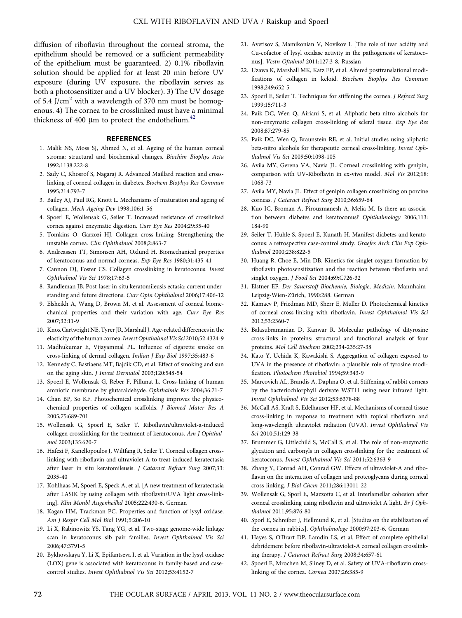<span id="page-7-0"></span>diffusion of riboflavin throughout the corneal stroma, the epithelium should be removed or a sufficient permeability of the epithelium must be guaranteed. 2) 0.1% riboflavin solution should be applied for at least 20 min before UV exposure (during UV exposure, the riboflavin serves as both a photosensitizer and a UV blocker). 3) The UV dosage of 5.4 J/cm<sup>2</sup> with a wavelength of 370 nm must be homogenous. 4) The cornea to be crosslinked must have a minimal thickness of 400  $\mu$ m to protect the endothelium.<sup>42</sup>

#### **REFERENCES**

- 1. Malik NS, Moss SJ, Ahmed N, et al. Ageing of the human corneal stroma: structural and biochemical changes. Biochim Biophys Acta 1992;1138:222-8
- 2. Sady C, Khosrof S, Nagaraj R. Advanced Maillard reaction and crosslinking of corneal collagen in diabetes. Biochem Biophys Res Commun 1995;214:793-7
- 3. Bailey AJ, Paul RG, Knott L. Mechanisms of maturation and ageing of collagen. Mech Ageing Dev 1998;106:1-56
- 4. Spoerl E, Wollensak G, Seiler T. Increased resistance of crosslinked cornea against enzymatic digestion. Curr Eye Res 2004;29:35-40
- 5. Tomkins O, Garzozi HJ. Collagen cross-linking: Strengthening the unstable cornea. Clin Ophthalmol 2008;2:863-7
- 6. Andreassen TT, Simonsen AH, Oxlund H. Biomechanical properties of keratoconus and normal corneas. Exp Eye Res 1980;31:435-41
- 7. Cannon DJ, Foster CS. Collagen crosslinking in keratoconus. Invest Ophthalmol Vis Sci 1978;17:63-5
- 8. Randleman JB. Post-laser in-situ keratomileusis ectasia: current understanding and future directions. Curr Opin Ophthalmol 2006;17:406-12
- 9. Elsheikh A, Wang D, Brown M, et al. Assessment of corneal biomechanical properties and their variation with age. Curr Eye Res 2007;32:11-9
- 10. Knox Cartwright NE, Tyrer JR, Marshall J. Age-related differences in the elasticity of the human cornea. Invest Ophthalmol Vis Sci 2010;52:4324-9
- 11. Madhukumar E, Vijayammal PL. Influence of cigarette smoke on cross-linking of dermal collagen. Indian J Exp Biol 1997;35:483-6
- 12. Kennedy C, Bastiaens MT, Bajdik CD, et al. Effect of smoking and sun on the aging skin. J Invest Dermatol 2003;120:548-54
- 13. Spoerl E, Wollensak G, Reber F, Pillunat L. Cross-linking of human amniotic membrane by glutaraldehyde. Ophthalmic Res 2004;36:71-7
- 14. Chan BP, So KF. Photochemical crosslinking improves the physicochemical properties of collagen scaffolds. J Biomed Mater Res A 2005;75:689-701
- 15. Wollensak G, Spoerl E, Seiler T. Riboflavin/ultraviolet-a-induced collagen crosslinking for the treatment of keratoconus. Am J Ophthalmol 2003;135:620-7
- 16. Hafezi F, Kanellopoulos J, Wiltfang R, Seiler T. Corneal collagen crosslinking with riboflavin and ultraviolet A to treat induced keratectasia after laser in situ keratomileusis. J Cataract Refract Surg 2007;33: 2035-40
- 17. Kohlhaas M, Spoerl E, Speck A, et al. [A new treatment of keratectasia after LASIK by using collagen with riboflavin/UVA light cross-linking]. Klin Monbl Augenheilkd 2005;222:430-6. German
- 18. Kagan HM, Trackman PC. Properties and function of lysyl oxidase. Am J Respir Cell Mol Biol 1991;5:206-10
- 19. Li X, Rabinowitz YS, Tang YG, et al. Two-stage genome-wide linkage scan in keratoconus sib pair families. Invest Ophthalmol Vis Sci 2006;47:3791-5
- 20. Bykhovskaya Y, Li X, Epifantseva I, et al. Variation in the lysyl oxidase (LOX) gene is associated with keratoconus in family-based and casecontrol studies. Invest Ophthalmol Vis Sci 2012;53:4152-7
- 21. Avetisov S, Mamikonian V, Novikov I. [The role of tear acidity and Cu-cofactor of lysyl oxidase activity in the pathogenesis of keratoconus]. Vestn Oftalmol 2011;127:3-8. Russian
- 22. Uzawa K, Marshall MK, Katz EP, et al. Altered posttranslational modifications of collagen in keloid. Biochem Biophys Res Commun 1998;249:652-5
- 23. Spoerl E, Seiler T. Techniques for stiffening the cornea. J Refract Surg 1999;15:711-3
- 24. Paik DC, Wen Q, Airiani S, et al. Aliphatic beta-nitro alcohols for non-enzymatic collagen cross-linking of scleral tissue. Exp Eye Res 2008;87:279-85
- 25. Paik DC, Wen Q, Braunstein RE, et al. Initial studies using aliphatic beta-nitro alcohols for therapeutic corneal cross-linking. Invest Ophthalmol Vis Sci 2009;50:1098-105
- 26. Avila MY, Gerena VA, Navia JL. Corneal crosslinking with genipin, comparison with UV-Riboflavin in ex-vivo model. Mol Vis 2012;18: 1068-73
- 27. Avila MY, Navia JL. Effect of genipin collagen crosslinking on porcine corneas. J Cataract Refract Surg 2010;36:659-64
- 28. Kuo IC, Broman A, Pirouzmanesh A, Melia M. Is there an association between diabetes and keratoconus? Ophthalmology 2006;113: 184-90
- 29. Seiler T, Huhle S, Spoerl E, Kunath H. Manifest diabetes and keratoconus: a retrospective case-control study. Graefes Arch Clin Exp Ophthalmol 2000;238:822-5
- 30. Huang R, Choe E, Min DB. Kinetics for singlet oxygen formation by riboflavin photosensitization and the reaction between riboflavin and singlet oxygen. J Food Sci 2004;69:C726-32
- 31. Elstner EF. Der Sauerstoff Biochemie, Biologie, Medizin. Mannhaim-Leipzig-Wien-Zürich, 1990:288. German
- 32. Kamaev P, Friedman MD, Sherr E, Muller D. Photochemical kinetics of corneal cross-linking with riboflavin. Invest Ophthalmol Vis Sci 2012;53:2360-7
- 33. Balasubramanian D, Kanwar R. Molecular pathology of dityrosine cross-links in proteins: structural and functional analysis of four proteins. Mol Cell Biochem 2002;234-235:27-38
- 34. Kato Y, Uchida K, Kawakishi S. Aggregation of collagen exposed to UVA in the presence of riboflavin: a plausible role of tyrosine modification. Photochem Photobiol 1994;59:343-9
- 35. Marcovich AL, Brandis A, Daphna O, et al. Stiffening of rabbit corneas by the bacteriochlorphyll derivate WST11 using near infrared light. Invest Ophthalmol Vis Sci 2012;53:6378-88
- 36. McCall AS, Kraft S, Edelhauser HF, et al. Mechanisms of corneal tissue cross-linking in response to treatment with topical riboflavin and long-wavelength ultraviolet radiation (UVA). Invest Ophthalmol Vis Sci 2010;51:129-38
- 37. Brummer G, Littlechild S, McCall S, et al. The role of non-enzymatic glycation and carbonyls in collagen crosslinking for the treatment of keratoconus. Invest Ophthalmol Vis Sci 2011;52:6363-9
- 38. Zhang Y, Conrad AH, Conrad GW. Effects of ultraviolet-A and riboflavin on the interaction of collagen and proteoglycans during corneal cross-linking. J Biol Chem 2011;286:13011-22
- 39. Wollensak G, Sporl E, Mazzotta C, et al. Interlamellar cohesion after corneal crosslinking using riboflavin and ultraviolet A light. Br J Ophthalmol 2011;95:876-80
- 40. Sporl E, Schreiber J, Hellmund K, et al. [Studies on the stabilization of the cornea in rabbits]. Ophthalmologe 2000;97:203-6. German
- 41. Hayes S, O'Brart DP, Lamdin LS, et al. Effect of complete epithelial debridement before riboflavin-ultraviolet-A corneal collagen crosslinking therapy. J Cataract Refract Surg 2008;34:657-61
- 42. Spoerl E, Mrochen M, Sliney D, et al. Safety of UVA-riboflavin crosslinking of the cornea. Cornea 2007;26:385-9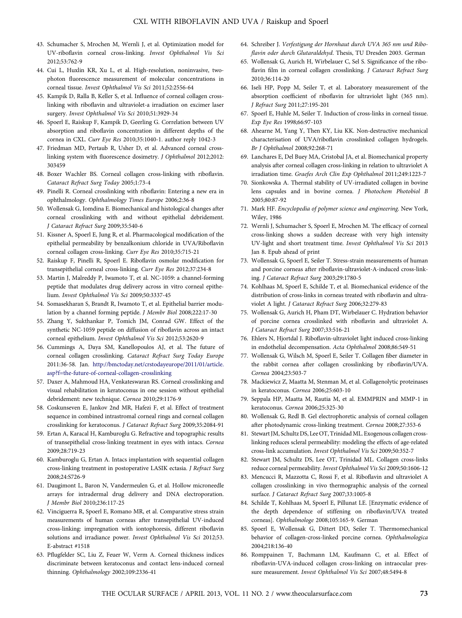- <span id="page-8-0"></span>43. Schumacher S, Mrochen M, Wernli J, et al. Optimization model for UV-riboflavin corneal cross-linking. Invest Ophthalmol Vis Sci 2012;53:762-9
- 44. Cui L, Huxlin KR, Xu L, et al. High-resolution, noninvasive, twophoton fluorescence measurement of molecular concentrations in corneal tissue. Invest Ophthalmol Vis Sci 2011;52:2556-64
- 45. Kampik D, Ralla B, Keller S, et al. Influence of corneal collagen crosslinking with riboflavin and ultraviolet-a irradiation on excimer laser surgery. Invest Ophthalmol Vis Sci 2010;51:3929-34
- 46. Spoerl E, Raiskup F, Kampik D, Geerling G. Correlation between UV absorption and riboflavin concentration in different depths of the cornea in CXL. Curr Eye Res 2010;35:1040-1. author reply 1042-3
- 47. Friedman MD, Pertaub R, Usher D, et al. Advanced corneal crosslinking system with fluorescence dosimetry. J Ophthalmol 2012;2012: 303459
- 48. Boxer Wachler BS. Corneal collagen cross-linking with riboflavin. Cataract Refract Surg Today 2005;1:73-4
- 49. Pinelli R. Corneal crosslinking with riboflavin: Entering a new era in ophthalmology. Ophthalmology Times Europe 2006;2:36-8
- 50. Wollensak G, Iomdina E. Biomechanical and histological changes after corneal crosslinking with and without epithelial debridement. J Cataract Refract Surg 2009;35:540-6
- 51. Kissner A, Spoerl E, Jung R, et al. Pharmacological modification of the epithelial permeability by benzalkonium chloride in UVA/Riboflavin corneal collagen cross-linking. Curr Eye Res 2010;35:715-21
- 52. Raiskup F, Pinelli R, Spoerl E. Riboflavin osmolar modification for transepithelial corneal cross-linking. Curr Eye Res 2012;37:234-8
- 53. Martin J, Malreddy P, Iwamoto T, et al. NC-1059: a channel-forming peptide that modulates drug delivery across in vitro corneal epithelium. Invest Ophthalmol Vis Sci 2009;50:3337-45
- 54. Somasekharan S, Brandt R, Iwamoto T, et al. Epithelial barrier modulation by a channel forming peptide. J Membr Biol 2008;222:17-30
- 55. Zhang Y, Sukthankar P, Tomich JM, Conrad GW. Effect of the synthetic NC-1059 peptide on diffusion of riboflavin across an intact corneal epithelium. Invest Ophthalmol Vis Sci 2012;53:2620-9
- 56. Cummings A, Daya SM, Kanellopoulos AJ, et al. The future of corneal collagen crosslinking. Cataract Refract Surg Today Europe 2011:36-58. Jan. [http://bmctoday.net/crstodayeurope/2011/01/article.](http://bmctoday.net/crstodayeurope/2011/01/article.asp?f=the-future-of-corneal-collagen-crosslinking) [asp?f=the-future-of-corneal-collagen-crosslinking](http://bmctoday.net/crstodayeurope/2011/01/article.asp?f=the-future-of-corneal-collagen-crosslinking)
- 57. Daxer A, Mahmoud HA, Venkateswaran RS. Corneal crosslinking and visual rehabilitation in keratoconus in one session without epithelial debridement: new technique. Cornea 2010;29:1176-9
- 58. Coskunseven E, Jankov 2nd MR, Hafezi F, et al. Effect of treatment sequence in combined intrastromal corneal rings and corneal collagen crosslinking for keratoconus. J Cataract Refract Surg 2009;35:2084-91
- 59. Ertan A, Karacal H, Kamburoglu G. Refractive and topographic results of transepithelial cross-linking treatment in eyes with intacs. Cornea 2009;28:719-23
- 60. Kamburoglu G, Ertan A. Intacs implantation with sequential collagen cross-linking treatment in postoperative LASIK ectasia. J Refract Surg 2008;24:S726-9
- 61. Daugimont L, Baron N, Vandermeulen G, et al. Hollow microneedle arrays for intradermal drug delivery and DNA electroporation. J Membr Biol 2010;236:117-25
- 62. Vinciguerra R, Spoerl E, Romano MR, et al. Comparative stress strain measurements of human corneas after transepithelial UV-induced cross-linking: impregnation with iontophoresis, different riboflavin solutions and irradiance power. Invest Ophthalmol Vis Sci 2012;53. E-abstract #1518
- 63. Pflugfelder SC, Liu Z, Feuer W, Verm A. Corneal thickness indices discriminate between keratoconus and contact lens-induced corneal thinning. Ophthalmology 2002;109:2336-41
- 64. Schreiber J. Verfestigung der Hornhaut durch UVA 365 nm und Riboflavin oder durch Glutaraldehyd. Thesis, TU Dresden 2003. German
- 65. Wollensak G, Aurich H, Wirbelauer C, Sel S. Significance of the riboflavin film in corneal collagen crosslinking. J Cataract Refract Surg 2010;36:114-20
- 66. Iseli HP, Popp M, Seiler T, et al. Laboratory measurement of the absorption coefficient of riboflavin for ultraviolet light (365 nm). J Refract Surg 2011;27:195-201
- 67. Spoerl E, Huhle M, Seiler T. Induction of cross-links in corneal tissue. Exp Eye Res 1998;66:97-103
- 68. Ahearne M, Yang Y, Then KY, Liu KK. Non-destructive mechanical characterisation of UVA/riboflavin crosslinked collagen hydrogels. Br J Ophthalmol 2008;92:268-71
- 69. Lanchares E, Del Buey MA, Cristobal JA, et al. Biomechanical property analysis after corneal collagen cross-linking in relation to ultraviolet A irradiation time. Graefes Arch Clin Exp Ophthalmol 2011;249:1223-7
- 70. Sionkowska A. Thermal stability of UV-irradiated collagen in bovine lens capsules and in bovine cornea. J Photochem Photobiol B 2005;80:87-92
- 71. Mark HF. Encyclopedia of polymer science and engineering. New York, Wiley, 1986
- 72. Wernli J, Schumacher S, Spoerl E, Mrochen M. The efficacy of corneal cross-linking shows a sudden decrease with very high intensity UV-light and short treatment time. Invest Ophthalmol Vis Sci 2013 Jan 8. Epub ahead of print
- 73. Wollensak G, Spoerl E, Seiler T. Stress-strain measurements of human and porcine corneas after riboflavin-ultraviolet-A-induced cross-linking. J Cataract Refract Surg 2003;29:1780-5
- 74. Kohlhaas M, Spoerl E, Schilde T, et al. Biomechanical evidence of the distribution of cross-links in corneas treated with riboflavin and ultraviolet A light. J Cataract Refract Surg 2006;32:279-83
- 75. Wollensak G, Aurich H, Pham DT, Wirbelauer C. Hydration behavior of porcine cornea crosslinked with riboflavin and ultraviolet A. J Cataract Refract Surg 2007;33:516-21
- 76. Ehlers N, Hjortdal J. Riboflavin-ultraviolet light induced cross-linking in endothelial decompensation. Acta Ophthalmol 2008;86:549-51
- 77. Wollensak G, Wilsch M, Spoerl E, Seiler T. Collagen fiber diameter in the rabbit cornea after collagen crosslinking by riboflavin/UVA. Cornea 2004;23:503-7
- 78. Mackiewicz Z, Maatta M, Stenman M, et al. Collagenolytic proteinases in keratoconus. Cornea 2006;25:603-10
- 79. Seppala HP, Maatta M, Rautia M, et al. EMMPRIN and MMP-1 in keratoconus. Cornea 2006;25:325-30
- 80. Wollensak G, Redl B. Gel electrophoretic analysis of corneal collagen after photodynamic cross-linking treatment. Cornea 2008;27:353-6
- 81. Stewart JM, Schultz DS, Lee OT, Trinidad ML. Exogenous collagen crosslinking reduces scleral permeability: modeling the effects of age-related cross-link accumulation. Invest Ophthalmol Vis Sci 2009;50:352-7
- 82. Stewart JM, Schultz DS, Lee OT, Trinidad ML. Collagen cross-links reduce corneal permeability. Invest Ophthalmol Vis Sci 2009;50:1606-12
- 83. Mencucci R, Mazzotta C, Rossi F, et al. Riboflavin and ultraviolet A collagen crosslinking: in vivo thermographic analysis of the corneal surface. J Cataract Refract Surg 2007;33:1005-8
- 84. Schilde T, Kohlhaas M, Spoerl E, Pillunat LE. [Enzymatic evidence of the depth dependence of stiffening on riboflavin/UVA treated corneas]. Ophthalmologe 2008;105:165-9. German
- 85. Spoerl E, Wollensak G, Dittert DD, Seiler T. Thermomechanical behavior of collagen-cross-linked porcine cornea. Ophthalmologica 2004;218:136-40
- 86. Romppainen T, Bachmann LM, Kaufmann C, et al. Effect of riboflavin-UVA-induced collagen cross-linking on intraocular pressure measurement. Invest Ophthalmol Vis Sci 2007;48:5494-8